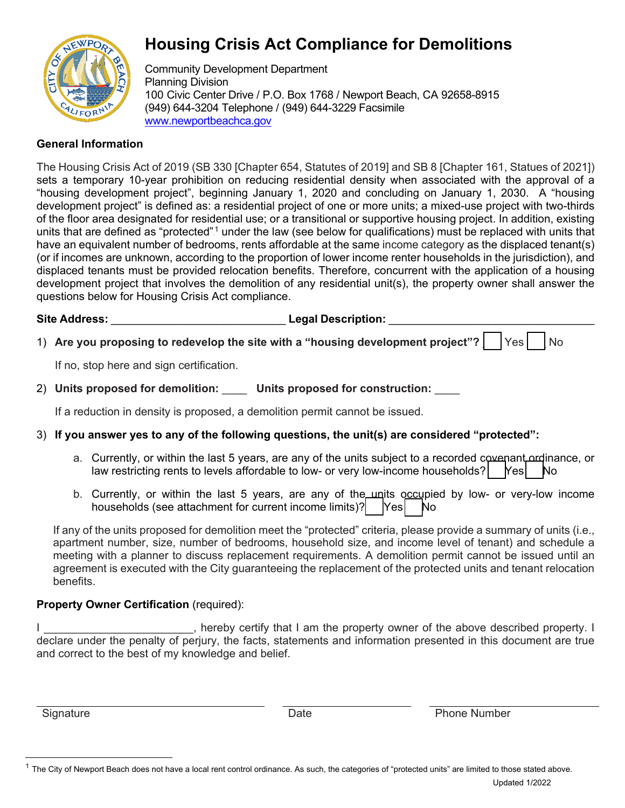

# **Housing Crisis Act Compliance for Demolitions**

Community Development Department Planning Division 100 Civic Center Drive / P.O. Box 1768 / Newport Be[ach, CA 92658-8915](http://www.newportbeachca.gov/)  (949) 644-3204 Telephone / (949) 644-3229 Facsimile [www.newportbeachca.gov](http://www.newportbeachca.gov/)

### **General Information**

The Housing Crisis Act of 2019 (SB 330 [Chapter 654, Statutes of 2019] and SB 8 [Chapter 161, Statues of 2021]) sets a temporary 10-year prohibition on reducing residential density when associated with the approval of a "housing development project", beginning January 1, 2020 and concluding on January 1, 2030. A "housing development project" is defined as: a residential project of one or more units; a mixed-use project with two-thirds of the floor area designated for residential use; or a transitional or supportive housing project. In addition, existing units that are defined as "protected".<sup>1</sup> under the law (see below for qualifications) must be replaced with units that have an equivalent number of bedrooms, rents affordable at the same income category as the displaced tenant(s) (or if incomes are unknown, according to the proportion of lower income renter households in the jurisdiction), and displaced tenants must be provided relocation benefits. Therefore, concurrent with the application of a housing development project that involves the demolition of any residential unit(s), the property owner shall answer the questions below for Housing Crisis Act compliance.

Site Address: **Legal Description: 2.1 Address:**  $\blacksquare$ 

1) Are you proposing to redevelop the site with a "housing development project"? | Yes | No

If no, stop here and sign certification.

2) **Units proposed for demolition:** \_\_\_\_ **Units proposed for construction:** \_\_\_\_

If a reduction in density is proposed, a demolition permit cannot be issued.

## 3) **If you answer yes to any of the following questions, the unit(s) are considered "protected":**

- a. Currently, or within the last 5 years, are any of the units subject to a recorded covenant ordinance, or law restricting rents to levels affordable to low- or very low-income households?  $\begin{bmatrix} \text{Yes} \\ \text{No} \end{bmatrix}$
- b. Currently, or within the last 5 years, are any of the units occupied by low- or very-low income households (see attachment for current income limits)?  $\begin{bmatrix} \n\text{Yes} \n\end{bmatrix}$  No

If any of the units proposed for demolition meet the "protected" criteria, please provide a summary of units (i.e., apartment number, size, number of bedrooms, household size, and income level of tenant) and schedule a meeting with a planner to discuss replacement requirements. A demolition permit cannot be issued until an agreement is executed with the City guaranteeing the replacement of the protected units and tenant relocation benefits.

#### **Property Owner Certification** (required):

I consider the property owner of the above described property. I declare under the penalty of perjury, the facts, statements and information presented in this document are true and correct to the best of my knowledge and belief.

Signature **Date** Phone Number **Date** Phone Number

<sup>&</sup>lt;sup>1</sup> The City of Newport Beach does not have a local rent control ordinance. As such, the categories of "protected units" are limited to those stated above. Updated 1/2022